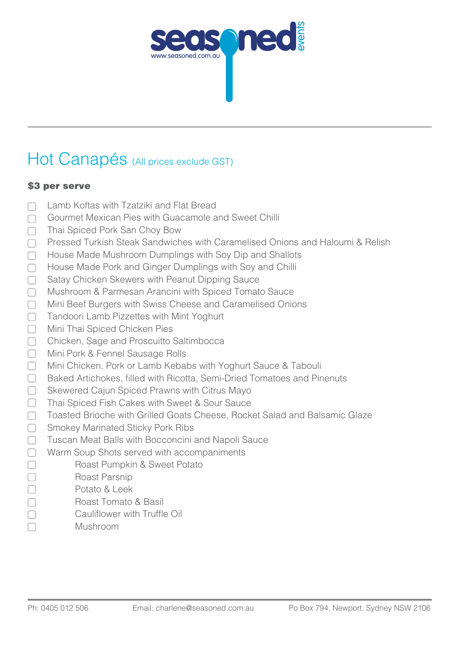

# Hot Canapés (All prices exclude GST)

### \$3 per serve

- Lamb Koftas with Tzatziki and Flat Bread  $\Box$
- Gourmet Mexican Pies with Guacamole and Sweet Chilli  $\Box$
- Thai Spiced Pork San Choy Bow  $\Box$
- Pressed Turkish Steak Sandwiches with Caramelised Onions and Haloumi & Relish  $\Box$
- House Made Mushroom Dumplings with Soy Dip and Shallots  $\Box$
- House Made Pork and Ginger Dumplings with Soy and Chilli  $\Box$
- Satay Chicken Skewers with Peanut Dipping Sauce  $\Box$
- Mushroom & Parmesan Arancini with Spiced Tomato Sauce  $\Box$
- Mini Beef Burgers with Swiss Cheese and Caramelised Onions  $\Box$
- $\Box$ Tandoori Lamb Pizzettes with Mint Yoghurt
- $\Box$ Mini Thai Spiced Chicken Pies
- Chicken, Sage and Proscuitto Saltimbocca
- $\qquad \qquad \Box$ Mini Pork & Fennel Sausage Rolls
- Mini Chicken, Pork or Lamb Kebabs with Yoghurt Sauce & Tabouli  $\begin{array}{c} \begin{array}{c} \end{array} \end{array}$
- $\Box$ Baked Artichokes, filled with Ricotta, Semi-Dried Tomatoes and Pinenuts
- $\Box$ Skewered Cajun Spiced Prawns with Citrus Mayo
- $\Box$ Thai Spiced Fish Cakes with Sweet & Sour Sauce
- $\Box$ Toasted Brioche with Grilled Goats Cheese, Rocket Salad and Balsamic Glaze
- $\Box$ Smokey Marinated Sticky Pork Ribs
- Tuscan Meat Balls with Bocconcini and Napoli Sauce  $\Box$
- Warm Soup Shots served with accompaniments  $\Box$ 
	- Roast Pumpkin & Sweet Potato
	- Roast Parsnip
	- Potato & Leek
	- Roast Tomato & Basil
	- Cauliflower with Truffle Oil
	- Mushroom

 $\Box$  $\Box$  $\Box$  $\Box$  $\Box$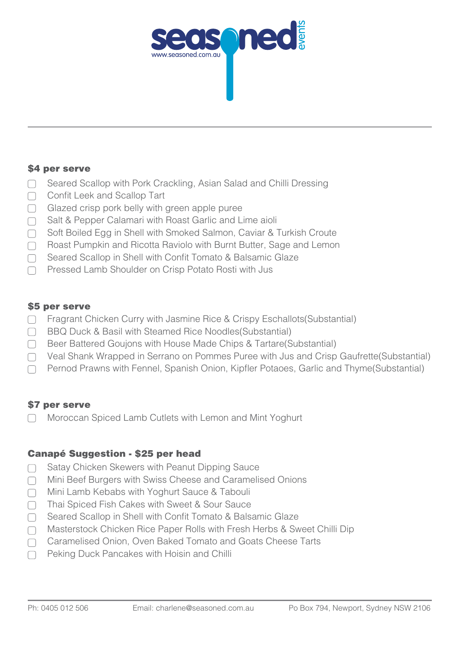

### \$4 per serve

- Seared Scallop with Pork Crackling, Asian Salad and Chilli Dressing  $\Box$
- Confit Leek and Scallop Tart  $\Box$
- $\Box$  Glazed crisp pork belly with green apple puree
- Salt & Pepper Calamari with Roast Garlic and Lime aioli  $\Box$
- Soft Boiled Egg in Shell with Smoked Salmon, Caviar & Turkish Croute  $\Box$
- $\cap$  Roast Pumpkin and Ricotta Raviolo with Burnt Butter, Sage and Lemon
- $\Box$ Seared Scallop in Shell with Confit Tomato & Balsamic Glaze
- Pressed Lamb Shoulder on Crisp Potato Rosti with Jus  $\Box$

### \$5 per serve

- Fragrant Chicken Curry with Jasmine Rice & Crispy Eschallots (Substantial)
- ◯ BBQ Duck & Basil with Steamed Rice Noodles (Substantial)
- ◯ Beer Battered Goujons with House Made Chips & Tartare(Substantial)
- Veal Shank Wrapped in Serrano on Pommes Puree with Jus and Crisp Gaufrette(Substantial)  $\Box$
- Pernod Prawns with Fennel, Spanish Onion, Kipfler Potaoes, Garlic and Thyme(Substantial)  $\Box$

### \$7 per serve

Moroccan Spiced Lamb Cutlets with Lemon and Mint Yoghurt

### **Canapé Suggestion - \$25 per head**

- Satay Chicken Skewers with Peanut Dipping Sauce  $\Box$
- Mini Beef Burgers with Swiss Cheese and Caramelised Onions  $\Box$
- Mini Lamb Kebabs with Yoghurt Sauce & Tabouli  $\Box$
- Thai Spiced Fish Cakes with Sweet & Sour Sauce  $\Box$
- Seared Scallop in Shell with Confit Tomato & Balsamic Glaze  $\Box$
- Masterstock Chicken Rice Paper Rolls with Fresh Herbs & Sweet Chilli Dip  $\Box$
- Caramelised Onion, Oven Baked Tomato and Goats Cheese Tarts  $\Box$
- Peking Duck Pancakes with Hoisin and Chilli $\Box$